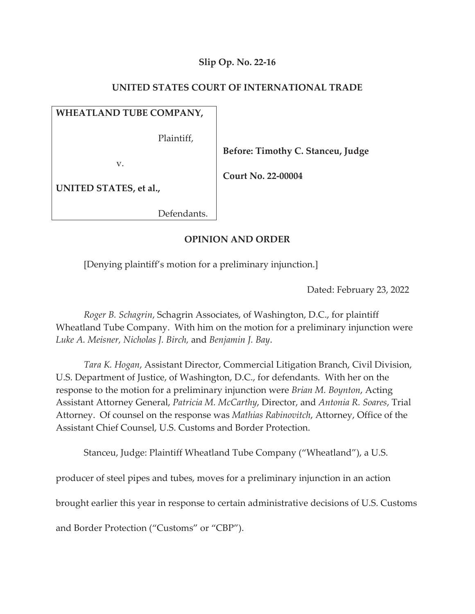### **Slip Op. No. 22-16**

### **UNITED STATES COURT OF INTERNATIONAL TRADE**

## **WHEATLAND TUBE COMPANY,**

Plaintiff,

v.

 **Before: Timothy C. Stanceu, Judge** 

 **Court No. 22-00004** 

**UNITED STATES, et al.,**

Defendants.

### **OPINION AND ORDER**

[Denying plaintiff's motion for a preliminary injunction.]

Dated: February 23, 2022

*Roger B. Schagrin*, Schagrin Associates, of Washington, D.C., for plaintiff Wheatland Tube Company. With him on the motion for a preliminary injunction were *Luke A. Meisner, Nicholas J. Birch,* and *Benjamin J. Bay*.

*Tara K. Hogan*, Assistant Director, Commercial Litigation Branch, Civil Division, U.S. Department of Justice, of Washington, D.C., for defendants. With her on the response to the motion for a preliminary injunction were *Brian M. Boynton*, Acting Assistant Attorney General, *Patricia M. McCarthy*, Director, and *Antonia R. Soares*, Trial Attorney. Of counsel on the response was *Mathias Rabinovitch*, Attorney, Office of the Assistant Chief Counsel, U.S. Customs and Border Protection.

Stanceu, Judge: Plaintiff Wheatland Tube Company ("Wheatland"), a U.S.

producer of steel pipes and tubes, moves for a preliminary injunction in an action

brought earlier this year in response to certain administrative decisions of U.S. Customs

and Border Protection ("Customs" or "CBP").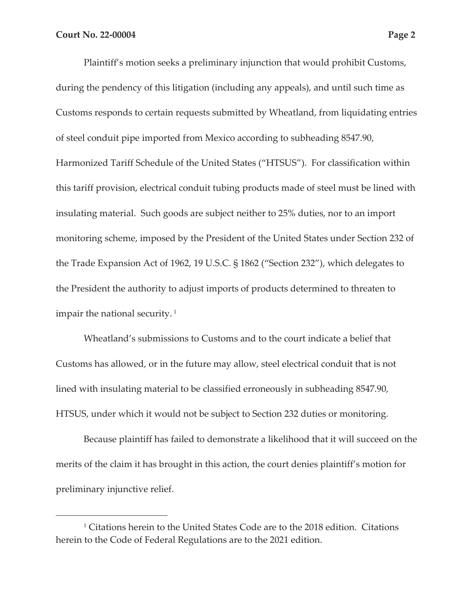Plaintiff's motion seeks a preliminary injunction that would prohibit Customs, during the pendency of this litigation (including any appeals), and until such time as Customs responds to certain requests submitted by Wheatland, from liquidating entries of steel conduit pipe imported from Mexico according to subheading 8547.90, Harmonized Tariff Schedule of the United States ("HTSUS"). For classification within this tariff provision, electrical conduit tubing products made of steel must be lined with insulating material. Such goods are subject neither to 25% duties, nor to an import monitoring scheme, imposed by the President of the United States under Section 232 of the Trade Expansion Act of 1962, 19 U.S.C. § 1862 ("Section 232"), which delegates to the President the authority to adjust imports of products determined to threaten to impair the national security. 1

Wheatland's submissions to Customs and to the court indicate a belief that Customs has allowed, or in the future may allow, steel electrical conduit that is not lined with insulating material to be classified erroneously in subheading 8547.90, HTSUS, under which it would not be subject to Section 232 duties or monitoring.

Because plaintiff has failed to demonstrate a likelihood that it will succeed on the merits of the claim it has brought in this action, the court denies plaintiff's motion for preliminary injunctive relief.

<sup>1</sup> Citations herein to the United States Code are to the 2018 edition. Citations herein to the Code of Federal Regulations are to the 2021 edition.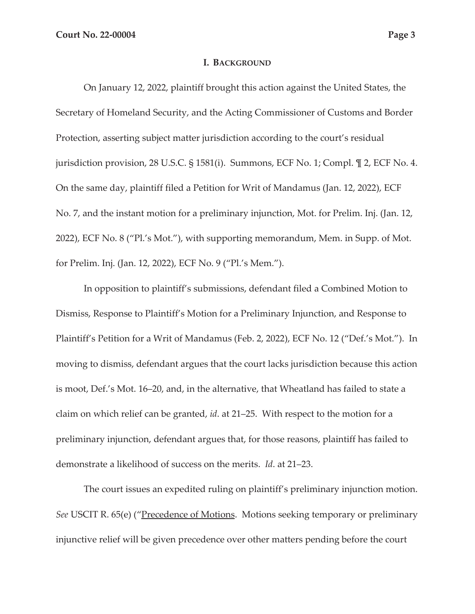#### **I. BACKGROUND**

On January 12, 2022, plaintiff brought this action against the United States, the Secretary of Homeland Security, and the Acting Commissioner of Customs and Border Protection, asserting subject matter jurisdiction according to the court's residual jurisdiction provision, 28 U.S.C. § 1581(i). Summons, ECF No. 1; Compl. ¶ 2, ECF No. 4. On the same day, plaintiff filed a Petition for Writ of Mandamus (Jan. 12, 2022), ECF No. 7, and the instant motion for a preliminary injunction, Mot. for Prelim. Inj. (Jan. 12, 2022), ECF No. 8 ("Pl.'s Mot."), with supporting memorandum, Mem. in Supp. of Mot. for Prelim. Inj. (Jan. 12, 2022), ECF No. 9 ("Pl.'s Mem.").

In opposition to plaintiff's submissions, defendant filed a Combined Motion to Dismiss, Response to Plaintiff's Motion for a Preliminary Injunction, and Response to Plaintiff's Petition for a Writ of Mandamus (Feb. 2, 2022), ECF No. 12 ("Def.'s Mot."). In moving to dismiss, defendant argues that the court lacks jurisdiction because this action is moot, Def.'s Mot. 16–20, and, in the alternative, that Wheatland has failed to state a claim on which relief can be granted, *id*. at 21–25. With respect to the motion for a preliminary injunction, defendant argues that, for those reasons, plaintiff has failed to demonstrate a likelihood of success on the merits. *Id*. at 21–23.

The court issues an expedited ruling on plaintiff's preliminary injunction motion. *See* USCIT R. 65(e) ("Precedence of Motions. Motions seeking temporary or preliminary injunctive relief will be given precedence over other matters pending before the court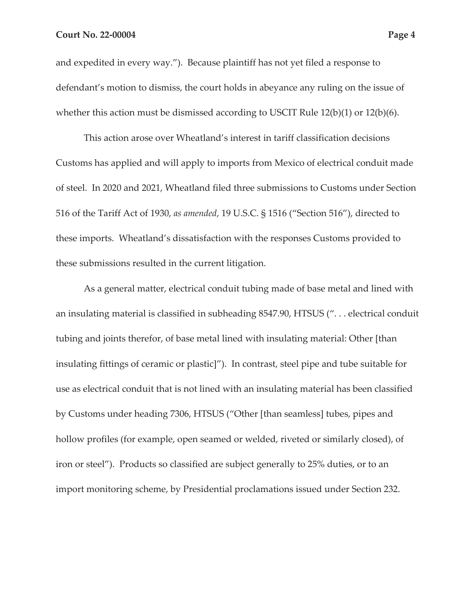and expedited in every way."). Because plaintiff has not yet filed a response to defendant's motion to dismiss, the court holds in abeyance any ruling on the issue of whether this action must be dismissed according to USCIT Rule 12(b)(1) or 12(b)(6).

This action arose over Wheatland's interest in tariff classification decisions Customs has applied and will apply to imports from Mexico of electrical conduit made of steel. In 2020 and 2021, Wheatland filed three submissions to Customs under Section 516 of the Tariff Act of 1930, *as amended*, 19 U.S.C. § 1516 ("Section 516"), directed to these imports. Wheatland's dissatisfaction with the responses Customs provided to these submissions resulted in the current litigation.

As a general matter, electrical conduit tubing made of base metal and lined with an insulating material is classified in subheading 8547.90, HTSUS (". . . electrical conduit tubing and joints therefor, of base metal lined with insulating material: Other [than insulating fittings of ceramic or plastic]"). In contrast, steel pipe and tube suitable for use as electrical conduit that is not lined with an insulating material has been classified by Customs under heading 7306, HTSUS ("Other [than seamless] tubes, pipes and hollow profiles (for example, open seamed or welded, riveted or similarly closed), of iron or steel"). Products so classified are subject generally to 25% duties, or to an import monitoring scheme, by Presidential proclamations issued under Section 232.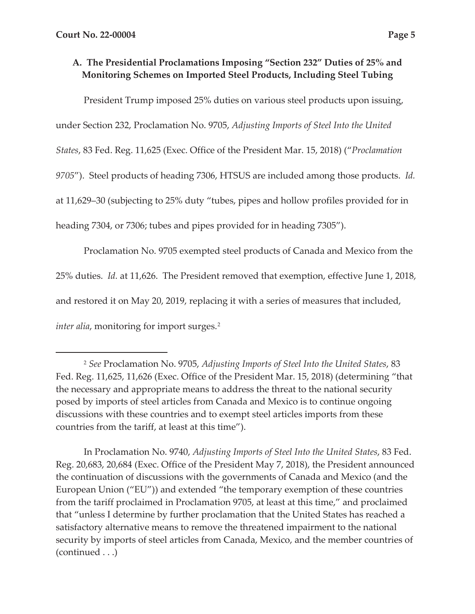# **A. The Presidential Proclamations Imposing "Section 232" Duties of 25% and Monitoring Schemes on Imported Steel Products, Including Steel Tubing**

President Trump imposed 25% duties on various steel products upon issuing,

under Section 232, Proclamation No. 9705, *Adjusting Imports of Steel Into the United* 

*States*, 83 Fed. Reg. 11,625 (Exec. Office of the President Mar. 15, 2018) ("*Proclamation* 

*9705*"). Steel products of heading 7306, HTSUS are included among those products. *Id.*

at 11,629–30 (subjecting to 25% duty "tubes, pipes and hollow profiles provided for in

heading 7304, or 7306; tubes and pipes provided for in heading 7305").

Proclamation No. 9705 exempted steel products of Canada and Mexico from the 25% duties. *Id.* at 11,626. The President removed that exemption, effective June 1, 2018, and restored it on May 20, 2019, replacing it with a series of measures that included, *inter alia*, monitoring for import surges.<sup>2</sup>

<sup>2</sup> *See* Proclamation No. 9705, *Adjusting Imports of Steel Into the United States*, 83 Fed. Reg. 11,625, 11,626 (Exec. Office of the President Mar. 15, 2018) (determining "that the necessary and appropriate means to address the threat to the national security posed by imports of steel articles from Canada and Mexico is to continue ongoing discussions with these countries and to exempt steel articles imports from these countries from the tariff, at least at this time").

In Proclamation No. 9740, *Adjusting Imports of Steel Into the United States*, 83 Fed. Reg. 20,683, 20,684 (Exec. Office of the President May 7, 2018), the President announced the continuation of discussions with the governments of Canada and Mexico (and the European Union ("EU")) and extended "the temporary exemption of these countries from the tariff proclaimed in Proclamation 9705, at least at this time," and proclaimed that "unless I determine by further proclamation that the United States has reached a satisfactory alternative means to remove the threatened impairment to the national security by imports of steel articles from Canada, Mexico, and the member countries of (continued . . .)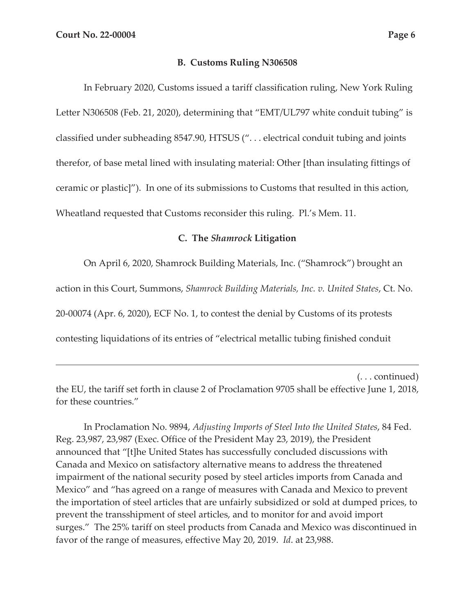#### **B. Customs Ruling N306508**

In February 2020, Customs issued a tariff classification ruling, New York Ruling Letter N306508 (Feb. 21, 2020), determining that "EMT/UL797 white conduit tubing" is classified under subheading 8547.90, HTSUS (". . . electrical conduit tubing and joints therefor, of base metal lined with insulating material: Other [than insulating fittings of ceramic or plastic]"). In one of its submissions to Customs that resulted in this action, Wheatland requested that Customs reconsider this ruling. Pl.'s Mem. 11.

#### **C. The** *Shamrock* **Litigation**

On April 6, 2020, Shamrock Building Materials, Inc. ("Shamrock") brought an

action in this Court, Summons, *Shamrock Building Materials, Inc. v. United States*, Ct. No.

20-00074 (Apr. 6, 2020), ECF No. 1, to contest the denial by Customs of its protests

contesting liquidations of its entries of "electrical metallic tubing finished conduit

(. . . continued)

the EU, the tariff set forth in clause 2 of Proclamation 9705 shall be effective June 1, 2018, for these countries."

In Proclamation No. 9894, *Adjusting Imports of Steel Into the United States*, 84 Fed. Reg. 23,987, 23,987 (Exec. Office of the President May 23, 2019), the President announced that "[t]he United States has successfully concluded discussions with Canada and Mexico on satisfactory alternative means to address the threatened impairment of the national security posed by steel articles imports from Canada and Mexico" and "has agreed on a range of measures with Canada and Mexico to prevent the importation of steel articles that are unfairly subsidized or sold at dumped prices, to prevent the transshipment of steel articles, and to monitor for and avoid import surges." The 25% tariff on steel products from Canada and Mexico was discontinued in favor of the range of measures, effective May 20, 2019. *Id*. at 23,988.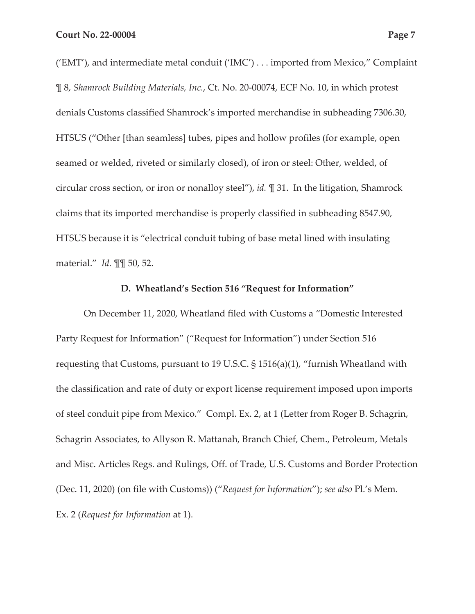('EMT'), and intermediate metal conduit ('IMC') . . . imported from Mexico," Complaint ¶ 8, *Shamrock Building Materials, Inc.*, Ct. No. 20-00074, ECF No. 10, in which protest denials Customs classified Shamrock's imported merchandise in subheading 7306.30, HTSUS ("Other [than seamless] tubes, pipes and hollow profiles (for example, open seamed or welded, riveted or similarly closed), of iron or steel: Other, welded, of circular cross section, or iron or nonalloy steel"), *id.* ¶ 31. In the litigation, Shamrock claims that its imported merchandise is properly classified in subheading 8547.90, HTSUS because it is "electrical conduit tubing of base metal lined with insulating material." *Id.* ¶¶ 50, 52.

#### **D. Wheatland's Section 516 "Request for Information"**

On December 11, 2020, Wheatland filed with Customs a "Domestic Interested Party Request for Information" ("Request for Information") under Section 516 requesting that Customs, pursuant to 19 U.S.C. § 1516(a)(1), "furnish Wheatland with the classification and rate of duty or export license requirement imposed upon imports of steel conduit pipe from Mexico." Compl. Ex. 2, at 1 (Letter from Roger B. Schagrin, Schagrin Associates, to Allyson R. Mattanah, Branch Chief, Chem., Petroleum, Metals and Misc. Articles Regs. and Rulings, Off. of Trade, U.S. Customs and Border Protection (Dec. 11, 2020) (on file with Customs)) ("*Request for Information*"); *see also* Pl.'s Mem. Ex. 2 (*Request for Information* at 1).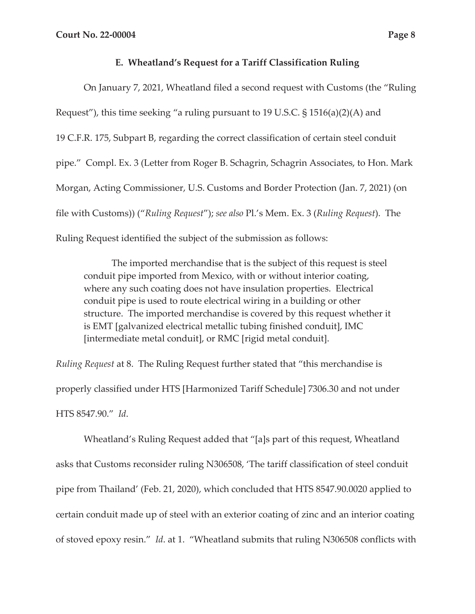### **E. Wheatland's Request for a Tariff Classification Ruling**

On January 7, 2021, Wheatland filed a second request with Customs (the "Ruling Request"), this time seeking "a ruling pursuant to 19 U.S.C. § 1516(a)(2)(A) and 19 C.F.R. 175, Subpart B, regarding the correct classification of certain steel conduit pipe." Compl. Ex. 3 (Letter from Roger B. Schagrin, Schagrin Associates, to Hon. Mark Morgan, Acting Commissioner, U.S. Customs and Border Protection (Jan. 7, 2021) (on file with Customs)) ("*Ruling Request*"); *see also* Pl.'s Mem. Ex. 3 (*Ruling Request*). The Ruling Request identified the subject of the submission as follows:

The imported merchandise that is the subject of this request is steel conduit pipe imported from Mexico, with or without interior coating, where any such coating does not have insulation properties. Electrical conduit pipe is used to route electrical wiring in a building or other structure. The imported merchandise is covered by this request whether it is EMT [galvanized electrical metallic tubing finished conduit], IMC [intermediate metal conduit], or RMC [rigid metal conduit].

*Ruling Request* at 8. The Ruling Request further stated that "this merchandise is properly classified under HTS [Harmonized Tariff Schedule] 7306.30 and not under HTS 8547.90." *Id*.

Wheatland's Ruling Request added that "[a]s part of this request, Wheatland asks that Customs reconsider ruling N306508, 'The tariff classification of steel conduit pipe from Thailand' (Feb. 21, 2020), which concluded that HTS 8547.90.0020 applied to certain conduit made up of steel with an exterior coating of zinc and an interior coating of stoved epoxy resin." *Id*. at 1. "Wheatland submits that ruling N306508 conflicts with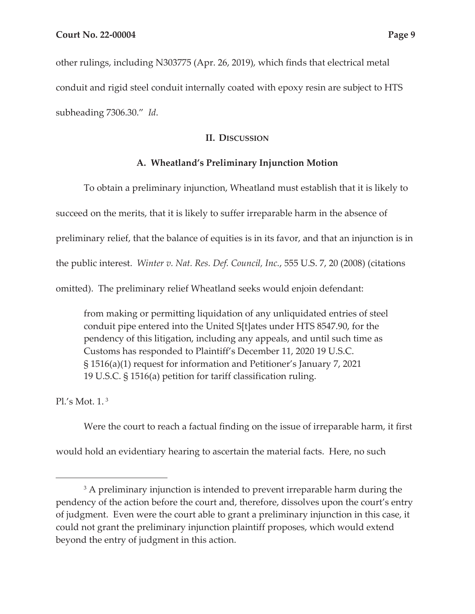other rulings, including N303775 (Apr. 26, 2019), which finds that electrical metal conduit and rigid steel conduit internally coated with epoxy resin are subject to HTS subheading 7306.30." *Id*.

#### **II. DISCUSSION**

### **A. Wheatland's Preliminary Injunction Motion**

To obtain a preliminary injunction, Wheatland must establish that it is likely to succeed on the merits, that it is likely to suffer irreparable harm in the absence of preliminary relief, that the balance of equities is in its favor, and that an injunction is in the public interest. *Winter v. Nat. Res. Def. Council, Inc.*, 555 U.S. 7, 20 (2008) (citations omitted). The preliminary relief Wheatland seeks would enjoin defendant:

from making or permitting liquidation of any unliquidated entries of steel conduit pipe entered into the United S[t]ates under HTS 8547.90, for the pendency of this litigation, including any appeals, and until such time as Customs has responded to Plaintiff's December 11, 2020 19 U.S.C. § 1516(a)(1) request for information and Petitioner's January 7, 2021 19 U.S.C. § 1516(a) petition for tariff classification ruling.

Pl.'s Mot. 1. 3

Were the court to reach a factual finding on the issue of irreparable harm, it first would hold an evidentiary hearing to ascertain the material facts. Here, no such

<sup>&</sup>lt;sup>3</sup> A preliminary injunction is intended to prevent irreparable harm during the pendency of the action before the court and, therefore, dissolves upon the court's entry of judgment. Even were the court able to grant a preliminary injunction in this case, it could not grant the preliminary injunction plaintiff proposes, which would extend beyond the entry of judgment in this action.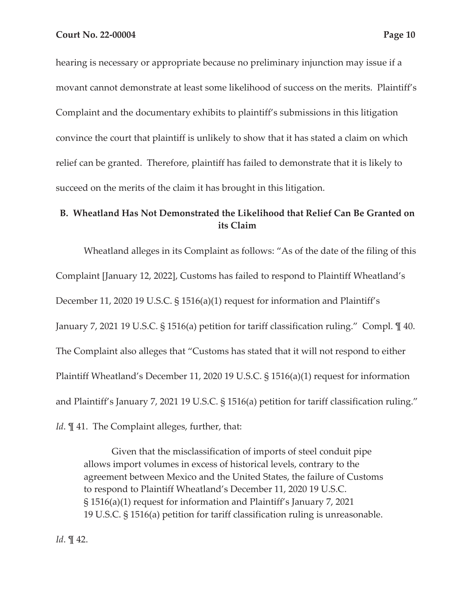hearing is necessary or appropriate because no preliminary injunction may issue if a movant cannot demonstrate at least some likelihood of success on the merits. Plaintiff's Complaint and the documentary exhibits to plaintiff's submissions in this litigation convince the court that plaintiff is unlikely to show that it has stated a claim on which relief can be granted. Therefore, plaintiff has failed to demonstrate that it is likely to

succeed on the merits of the claim it has brought in this litigation.

# **B. Wheatland Has Not Demonstrated the Likelihood that Relief Can Be Granted on its Claim**

Wheatland alleges in its Complaint as follows: "As of the date of the filing of this Complaint [January 12, 2022], Customs has failed to respond to Plaintiff Wheatland's December 11, 2020 19 U.S.C. § 1516(a)(1) request for information and Plaintiff's January 7, 2021 19 U.S.C. § 1516(a) petition for tariff classification ruling." Compl. ¶ 40. The Complaint also alleges that "Customs has stated that it will not respond to either Plaintiff Wheatland's December 11, 2020 19 U.S.C. § 1516(a)(1) request for information and Plaintiff's January 7, 2021 19 U.S.C. § 1516(a) petition for tariff classification ruling." *Id*. **[41.** The Complaint alleges, further, that:

Given that the misclassification of imports of steel conduit pipe allows import volumes in excess of historical levels, contrary to the agreement between Mexico and the United States, the failure of Customs to respond to Plaintiff Wheatland's December 11, 2020 19 U.S.C. § 1516(a)(1) request for information and Plaintiff's January 7, 2021 19 U.S.C. § 1516(a) petition for tariff classification ruling is unreasonable.

*Id*. ¶ 42.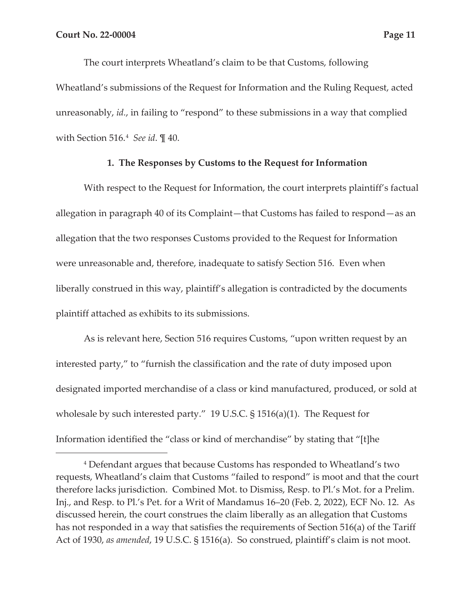The court interprets Wheatland's claim to be that Customs, following Wheatland's submissions of the Request for Information and the Ruling Request, acted unreasonably, *id.*, in failing to "respond" to these submissions in a way that complied with Section 516.4 *See id*. ¶ 40.

#### **1. The Responses by Customs to the Request for Information**

With respect to the Request for Information, the court interprets plaintiff's factual allegation in paragraph 40 of its Complaint—that Customs has failed to respond—as an allegation that the two responses Customs provided to the Request for Information were unreasonable and, therefore, inadequate to satisfy Section 516. Even when liberally construed in this way, plaintiff's allegation is contradicted by the documents plaintiff attached as exhibits to its submissions.

As is relevant here, Section 516 requires Customs, "upon written request by an interested party," to "furnish the classification and the rate of duty imposed upon designated imported merchandise of a class or kind manufactured, produced, or sold at wholesale by such interested party." 19 U.S.C. § 1516(a)(1). The Request for Information identified the "class or kind of merchandise" by stating that "[t]he

<sup>4</sup> Defendant argues that because Customs has responded to Wheatland's two requests, Wheatland's claim that Customs "failed to respond" is moot and that the court therefore lacks jurisdiction. Combined Mot. to Dismiss, Resp. to Pl.'s Mot. for a Prelim. Inj., and Resp. to Pl.'s Pet. for a Writ of Mandamus 16–20 (Feb. 2, 2022), ECF No. 12. As discussed herein, the court construes the claim liberally as an allegation that Customs has not responded in a way that satisfies the requirements of Section 516(a) of the Tariff Act of 1930, *as amended*, 19 U.S.C. § 1516(a). So construed, plaintiff's claim is not moot.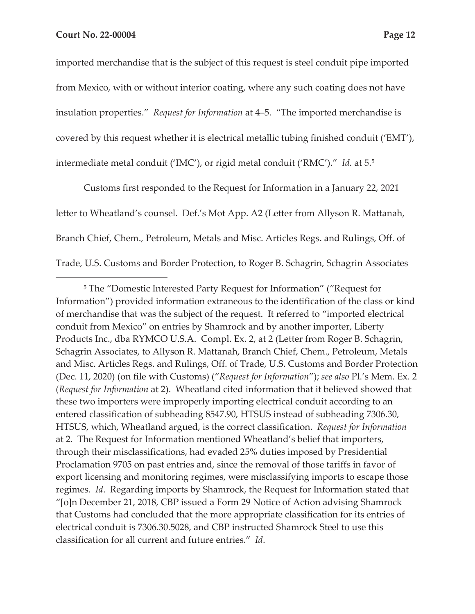imported merchandise that is the subject of this request is steel conduit pipe imported from Mexico, with or without interior coating, where any such coating does not have insulation properties." *Request for Information* at 4–5. "The imported merchandise is covered by this request whether it is electrical metallic tubing finished conduit ('EMT'), intermediate metal conduit ('IMC'), or rigid metal conduit ('RMC')." *Id.* at 5.5

Customs first responded to the Request for Information in a January 22, 2021 letter to Wheatland's counsel. Def.'s Mot App. A2 (Letter from Allyson R. Mattanah, Branch Chief, Chem., Petroleum, Metals and Misc. Articles Regs. and Rulings, Off. of Trade, U.S. Customs and Border Protection, to Roger B. Schagrin, Schagrin Associates

<sup>5</sup> The "Domestic Interested Party Request for Information" ("Request for Information") provided information extraneous to the identification of the class or kind of merchandise that was the subject of the request. It referred to "imported electrical conduit from Mexico" on entries by Shamrock and by another importer, Liberty Products Inc., dba RYMCO U.S.A. Compl. Ex. 2, at 2 (Letter from Roger B. Schagrin, Schagrin Associates, to Allyson R. Mattanah, Branch Chief, Chem., Petroleum, Metals and Misc. Articles Regs. and Rulings, Off. of Trade, U.S. Customs and Border Protection (Dec. 11, 2020) (on file with Customs) ("*Request for Information*"); *see also* Pl.'s Mem. Ex. 2 (*Request for Information* at 2). Wheatland cited information that it believed showed that these two importers were improperly importing electrical conduit according to an entered classification of subheading 8547.90, HTSUS instead of subheading 7306.30, HTSUS, which, Wheatland argued, is the correct classification. *Request for Information*  at 2. The Request for Information mentioned Wheatland's belief that importers, through their misclassifications, had evaded 25% duties imposed by Presidential Proclamation 9705 on past entries and, since the removal of those tariffs in favor of export licensing and monitoring regimes, were misclassifying imports to escape those regimes. *Id*. Regarding imports by Shamrock, the Request for Information stated that "[o]n December 21, 2018, CBP issued a Form 29 Notice of Action advising Shamrock that Customs had concluded that the more appropriate classification for its entries of electrical conduit is 7306.30.5028, and CBP instructed Shamrock Steel to use this classification for all current and future entries." *Id*.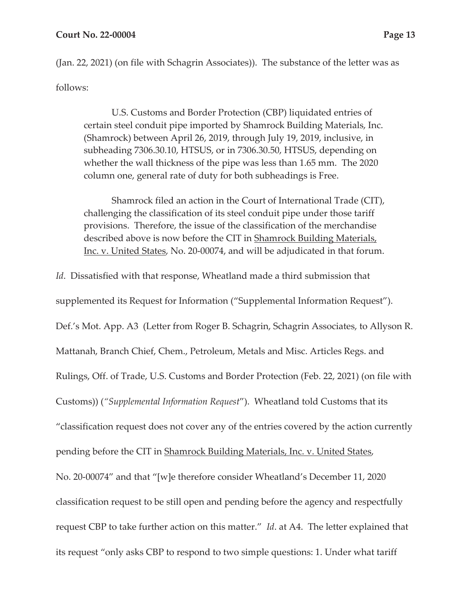(Jan. 22, 2021) (on file with Schagrin Associates)). The substance of the letter was as follows:

U.S. Customs and Border Protection (CBP) liquidated entries of certain steel conduit pipe imported by Shamrock Building Materials, Inc. (Shamrock) between April 26, 2019, through July 19, 2019, inclusive, in subheading 7306.30.10, HTSUS, or in 7306.30.50, HTSUS, depending on whether the wall thickness of the pipe was less than 1.65 mm. The 2020 column one, general rate of duty for both subheadings is Free.

Shamrock filed an action in the Court of International Trade (CIT), challenging the classification of its steel conduit pipe under those tariff provisions. Therefore, the issue of the classification of the merchandise described above is now before the CIT in Shamrock Building Materials, Inc. v. United States, No. 20-00074, and will be adjudicated in that forum.

*Id*. Dissatisfied with that response, Wheatland made a third submission that supplemented its Request for Information ("Supplemental Information Request"). Def.'s Mot. App. A3 (Letter from Roger B. Schagrin, Schagrin Associates, to Allyson R. Mattanah, Branch Chief, Chem., Petroleum, Metals and Misc. Articles Regs. and Rulings, Off. of Trade, U.S. Customs and Border Protection (Feb. 22, 2021) (on file with Customs)) (*"Supplemental Information Request*"). Wheatland told Customs that its "classification request does not cover any of the entries covered by the action currently pending before the CIT in Shamrock Building Materials, Inc. v. United States, No. 20-00074" and that "[w]e therefore consider Wheatland's December 11, 2020 classification request to be still open and pending before the agency and respectfully request CBP to take further action on this matter." *Id*. at A4. The letter explained that its request "only asks CBP to respond to two simple questions: 1. Under what tariff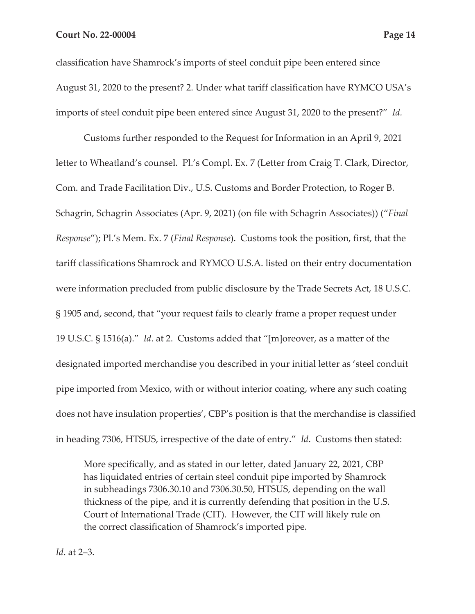classification have Shamrock's imports of steel conduit pipe been entered since August 31, 2020 to the present? 2. Under what tariff classification have RYMCO USA's imports of steel conduit pipe been entered since August 31, 2020 to the present?" *Id.* 

Customs further responded to the Request for Information in an April 9, 2021 letter to Wheatland's counsel. Pl.'s Compl. Ex. 7 (Letter from Craig T. Clark, Director, Com. and Trade Facilitation Div., U.S. Customs and Border Protection, to Roger B. Schagrin, Schagrin Associates (Apr. 9, 2021) (on file with Schagrin Associates)) ("*Final Response*"); Pl.'s Mem. Ex. 7 (*Final Response*). Customs took the position, first, that the tariff classifications Shamrock and RYMCO U.S.A. listed on their entry documentation were information precluded from public disclosure by the Trade Secrets Act, 18 U.S.C. § 1905 and, second, that "your request fails to clearly frame a proper request under 19 U.S.C. § 1516(a)." *Id*. at 2. Customs added that "[m]oreover, as a matter of the designated imported merchandise you described in your initial letter as 'steel conduit pipe imported from Mexico, with or without interior coating, where any such coating does not have insulation properties', CBP's position is that the merchandise is classified in heading 7306, HTSUS, irrespective of the date of entry." *Id*. Customs then stated:

More specifically, and as stated in our letter, dated January 22, 2021, CBP has liquidated entries of certain steel conduit pipe imported by Shamrock in subheadings 7306.30.10 and 7306.30.50, HTSUS, depending on the wall thickness of the pipe, and it is currently defending that position in the U.S. Court of International Trade (CIT). However, the CIT will likely rule on the correct classification of Shamrock's imported pipe.

*Id*. at 2–3.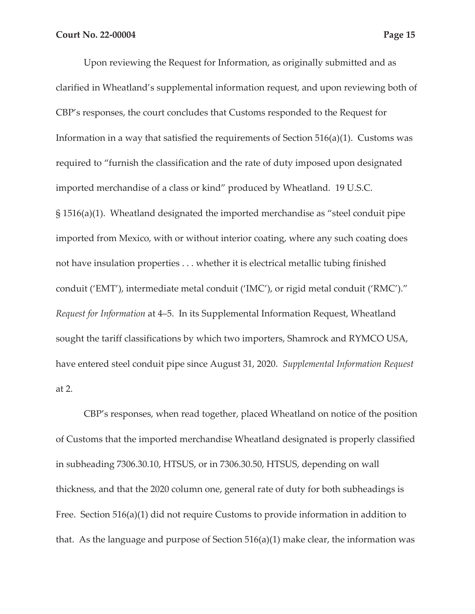Upon reviewing the Request for Information, as originally submitted and as clarified in Wheatland's supplemental information request, and upon reviewing both of CBP's responses, the court concludes that Customs responded to the Request for Information in a way that satisfied the requirements of Section 516(a)(1). Customs was required to "furnish the classification and the rate of duty imposed upon designated imported merchandise of a class or kind" produced by Wheatland. 19 U.S.C. § 1516(a)(1). Wheatland designated the imported merchandise as "steel conduit pipe imported from Mexico, with or without interior coating, where any such coating does not have insulation properties . . . whether it is electrical metallic tubing finished conduit ('EMT'), intermediate metal conduit ('IMC'), or rigid metal conduit ('RMC')." *Request for Information* at 4–5. In its Supplemental Information Request, Wheatland sought the tariff classifications by which two importers, Shamrock and RYMCO USA, have entered steel conduit pipe since August 31, 2020. *Supplemental Information Request*  at 2.

CBP's responses, when read together, placed Wheatland on notice of the position of Customs that the imported merchandise Wheatland designated is properly classified in subheading 7306.30.10, HTSUS, or in 7306.30.50, HTSUS, depending on wall thickness, and that the 2020 column one, general rate of duty for both subheadings is Free. Section 516(a)(1) did not require Customs to provide information in addition to that. As the language and purpose of Section 516(a)(1) make clear, the information was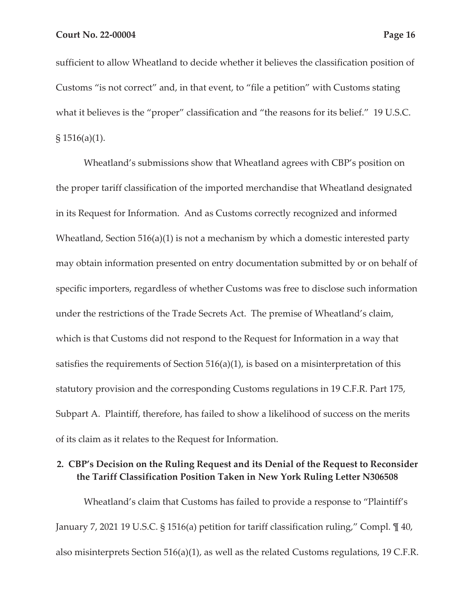sufficient to allow Wheatland to decide whether it believes the classification position of Customs "is not correct" and, in that event, to "file a petition" with Customs stating what it believes is the "proper" classification and "the reasons for its belief." 19 U.S.C.  $$1516(a)(1)$ .

Wheatland's submissions show that Wheatland agrees with CBP's position on the proper tariff classification of the imported merchandise that Wheatland designated in its Request for Information. And as Customs correctly recognized and informed Wheatland, Section 516(a)(1) is not a mechanism by which a domestic interested party may obtain information presented on entry documentation submitted by or on behalf of specific importers, regardless of whether Customs was free to disclose such information under the restrictions of the Trade Secrets Act. The premise of Wheatland's claim, which is that Customs did not respond to the Request for Information in a way that satisfies the requirements of Section  $516(a)(1)$ , is based on a misinterpretation of this statutory provision and the corresponding Customs regulations in 19 C.F.R. Part 175, Subpart A. Plaintiff, therefore, has failed to show a likelihood of success on the merits of its claim as it relates to the Request for Information.

## **2. CBP's Decision on the Ruling Request and its Denial of the Request to Reconsider the Tariff Classification Position Taken in New York Ruling Letter N306508**

Wheatland's claim that Customs has failed to provide a response to "Plaintiff's January 7, 2021 19 U.S.C. § 1516(a) petition for tariff classification ruling," Compl. ¶ 40, also misinterprets Section 516(a)(1), as well as the related Customs regulations, 19 C.F.R.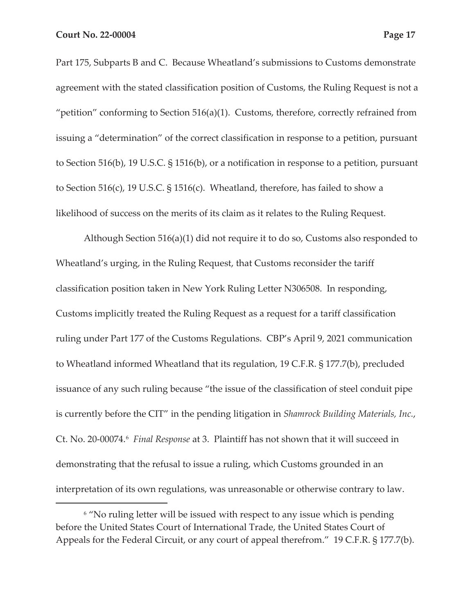Part 175, Subparts B and C. Because Wheatland's submissions to Customs demonstrate agreement with the stated classification position of Customs, the Ruling Request is not a "petition" conforming to Section 516(a)(1). Customs, therefore, correctly refrained from issuing a "determination" of the correct classification in response to a petition, pursuant to Section 516(b), 19 U.S.C. § 1516(b), or a notification in response to a petition, pursuant to Section 516(c), 19 U.S.C. § 1516(c). Wheatland, therefore, has failed to show a likelihood of success on the merits of its claim as it relates to the Ruling Request.

Although Section 516(a)(1) did not require it to do so, Customs also responded to Wheatland's urging, in the Ruling Request, that Customs reconsider the tariff classification position taken in New York Ruling Letter N306508. In responding, Customs implicitly treated the Ruling Request as a request for a tariff classification ruling under Part 177 of the Customs Regulations. CBP's April 9, 2021 communication to Wheatland informed Wheatland that its regulation, 19 C.F.R. § 177.7(b), precluded issuance of any such ruling because "the issue of the classification of steel conduit pipe is currently before the CIT" in the pending litigation in *Shamrock Building Materials, Inc.*, Ct. No. 20-00074.6 *Final Response* at 3. Plaintiff has not shown that it will succeed in demonstrating that the refusal to issue a ruling, which Customs grounded in an interpretation of its own regulations, was unreasonable or otherwise contrary to law.

<sup>&</sup>lt;sup>6</sup> "No ruling letter will be issued with respect to any issue which is pending before the United States Court of International Trade, the United States Court of Appeals for the Federal Circuit, or any court of appeal therefrom." 19 C.F.R. § 177.7(b).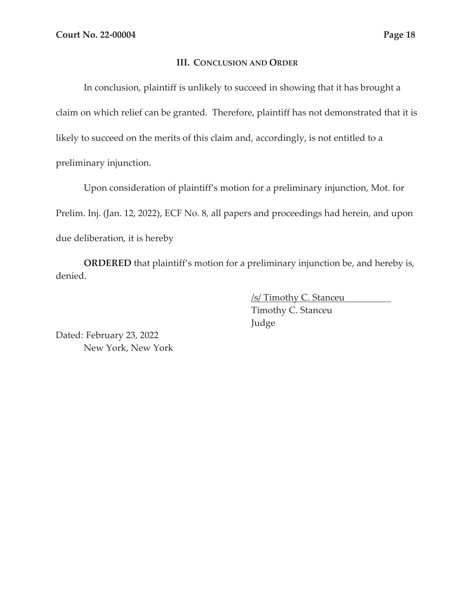### **III. CONCLUSION AND ORDER**

In conclusion, plaintiff is unlikely to succeed in showing that it has brought a claim on which relief can be granted. Therefore, plaintiff has not demonstrated that it is likely to succeed on the merits of this claim and, accordingly, is not entitled to a preliminary injunction.

Upon consideration of plaintiff's motion for a preliminary injunction, Mot. for Prelim. Inj. (Jan. 12, 2022), ECF No. 8, all papers and proceedings had herein, and upon due deliberation, it is hereby

**ORDERED** that plaintiff's motion for a preliminary injunction be, and hereby is, denied.

> /s/ Timothy C. Stanceu Timothy C. Stanceu Judge

Dated: February 23, 2022 New York, New York